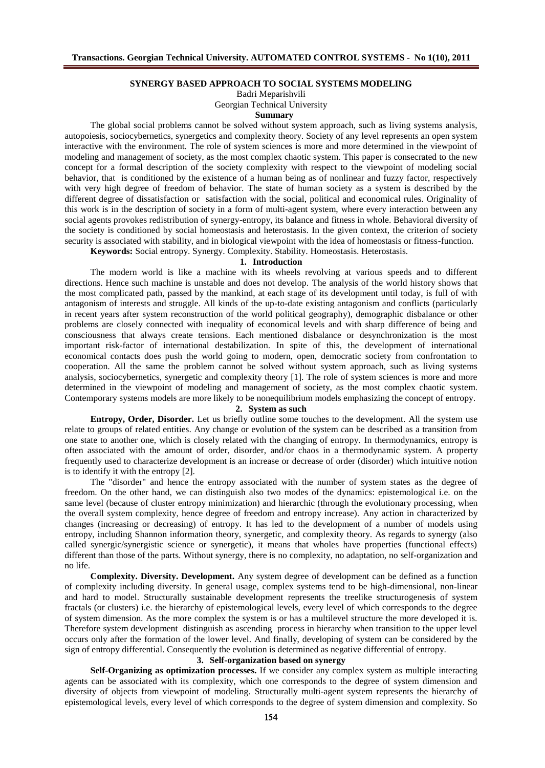#### **SYNERGY BASED APPROACH TO SOCIAL SYSTEMS MODELING**

Badri Meparishvili

Georgian Technical University

#### **Summary**

The global social problems cannot be solved without system approach, such as living systems analysis, autopoiesis, sociocybernetics, synergetics and complexity theory. Society of any level represents an open system interactive with the environment. The role of system sciences is more and more determined in the viewpoint of modeling and management of society, as the most complex chaotic system. This paper is consecrated to the new concept for a formal description of the society complexity with respect to the viewpoint of modeling social behavior, that is conditioned by the existence of a human being as of nonlinear and fuzzy factor, respectively with very high degree of freedom of behavior. The state of human society as a system is described by the different degree of dissatisfaction or satisfaction with the social, political and economical rules. Originality of this work is in the description of society in a form of multi-agent system, where every interaction between any social agents provokes redistribution of synergy-entropy, its balance and fitness in whole. Behavioral diversity of the society is conditioned by social homeostasis and heterostasis. In the given context, the criterion of society security is associated with stability, and in biological viewpoint with the idea of homeostasis or fitness-function.

**Keywords:** Social entropy. Synergy. Complexity. Stability. Homeostasis. Heterostasis.

## **1. Introduction**

The modern world is like a machine with its wheels revolving at various speeds and to different directions. Hence such machine is unstable and does not develop. The analysis of the world history shows that the most complicated path, passed by the mankind, at each stage of its development until today, is full of with antagonism of interests and struggle. All kinds of the up-to-date existing antagonism and conflicts (particularly in recent years after system reconstruction of the world political geography), demographic disbalance or other problems are closely connected with inequality of economical levels and with sharp difference of being and consciousness that always create tensions. Each mentioned disbalance or desynchronization is the most important risk-factor of international destabilization. In spite of this, the development of international economical contacts does push the world going to modern, open, democratic society from confrontation to cooperation. All the same the problem cannot be solved without system approach, such as living systems analysis, sociocybernetics, synergetic and complexity theory [1]. The role of system sciences is more and more determined in the viewpoint of modeling and management of society, as the most complex chaotic system. Contemporary systems models are more likely to be nonequilibrium models emphasizing the concept of entropy.

## **2. System as such**

**Entropy, Order, Disorder.** Let us briefly outline some touches to the development. All the system use relate to groups of related entities. Any change or evolution of the system can be described as a transition from one state to another one, which is closely related with the changing of entropy. In thermodynamics, entropy is often associated with the amount of order, disorder, and/or chaos in a thermodynamic system. A property frequently used to characterize development is an increase or decrease of order (disorder) which intuitive notion is to identify it with the entropy [2].

The "disorder" and hence the entropy associated with the number of system states as the degree of freedom. On the other hand, we can distinguish also two modes of the dynamics: epistemological i.e. on the same level (because of cluster entropy minimization) and hierarchic (through the evolutionary processing, when the overall system complexity, hence degree of freedom and entropy increase). Any action in characterized by changes (increasing or decreasing) of entropy. It has led to the development of a number of models using entropy, including Shannon information theory, synergetic, and complexity theory. As regards to synergy (also called synergic/synergistic science or synergetic), it means that wholes have properties (functional effects) different than those of the parts. Without synergy, there is no complexity, no adaptation, no self-organization and no life.

**Complexity. Diversity. Development.** Any system degree of development can be defined as a function of complexity including diversity. In general usage, complex systems tend to be high-dimensional, non-linear and hard to model. Structurally sustainable development represents the treelike structurogenesis of system fractals (or clusters) i.e. the hierarchy of epistemological levels, every level of which corresponds to the degree of system dimension. As the more complex the system is or has a multilevel structure the more developed it is. Therefore system development distinguish as ascending process in hierarchy when transition to the upper level occurs only after the formation of the lower level. And finally, developing of system can be considered by the sign of entropy differential. Consequently the evolution is determined as negative differential of entropy.

#### **3. Self-organization based on synergy**

**Self-Organizing as optimization processes.** If we consider any complex system as multiple interacting agents can be associated with its complexity, which one corresponds to the degree of system dimension and diversity of objects from viewpoint of modeling. Structurally multi-agent system represents the hierarchy of epistemological levels, every level of which corresponds to the degree of system dimension and complexity. So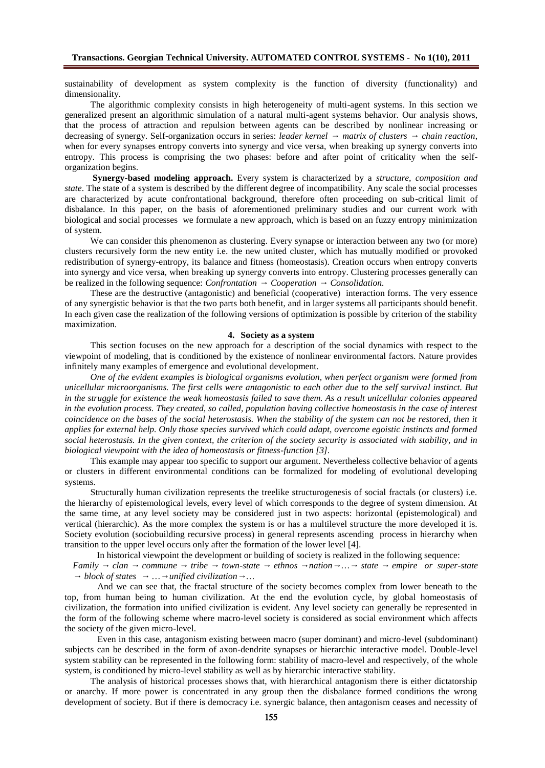sustainability of development as system complexity is the function of diversity (functionality) and dimensionality.

The algorithmic complexity consists in high heterogeneity of multi-agent systems. In this section we generalized present an algorithmic simulation of a natural multi-agent systems behavior. Our analysis shows, that the process of attraction and repulsion between agents can be described by nonlinear increasing or decreasing of synergy. Self-organization occurs in series: leader kernel matrix of clusters chain reaction. decreasing of synergy. Self-organization occurs in series: *leader kernel matrix of clusters chain reaction*, when for every synapses entropy converts into synergy and vice versa, when breaking up synergy converts into entropy. This process is comprising the two phases: before and after point of criticality when the selforganization begins.

**Synergy-based modeling approach.** Every system is characterized by a *structure, composition and state*. The state of a system is described by the different degree of incompatibility. Any scale the social processes are characterized by acute confrontational background, therefore often proceeding on sub-critical limit of disbalance. In this paper, on the basis of aforementioned preliminary studies and our current work with biological and social processes we formulate a new approach, which is based on an fuzzy entropy minimization of system.

We can consider this phenomenon as clustering. Every synapse or interaction between any two (or more) clusters recursively form the new entity i.e. the new united cluster, which has mutually modified or provoked redistribution of synergy-entropy, its balance and fitness (homeostasis). Creation occurs when entropy converts into synergy and vice versa, when breaking up synergy converts into entropy. Clustering processes generally can<br>be realized in the following sequence: *Confrontation* Cooperation Consolidation. be realized in the following sequence: *Confrontation* 

These are the destructive (antagonistic) and beneficial (cooperative) interaction forms. The very essence of any synergistic behavior is that the two parts both benefit, and in larger systems all participants should benefit. In each given case the realization of the following versions of optimization is possible by criterion of the stability maximization.

#### **4. Society as a system**

This section focuses on the new approach for a description of the social dynamics with respect to the viewpoint of modeling, that is conditioned by the existence of nonlinear environmental factors. Nature provides infinitely many examples of emergence and evolutional development.

*One of the evident examples is biological organisms evolution, when perfect organism were formed from unicellular microorganisms. The first cells were antagonistic to each other due to the self survival instinct. But in the struggle for existence the weak homeostasis failed to save them. As a result unicellular colonies appeared in the evolution process. They created, so called, population having collective homeostasis in the case of interest coincidence on the bases of the social heterostasis. When the stability of the system can not be restored, then it applies for external help. Only those species survived which could adapt, overcome egoistic instincts and formed social heterostasis. In the given context, the criterion of the society security is associated with stability, and in biological viewpoint with the idea of homeostasis or fitness-function [3].*

This example may appear too specific to support our argument. Nevertheless collective behavior of agents or clusters in different environmental conditions can be formalized for modeling of evolutional developing systems.

Structurally human civilization represents the treelike structurogenesis of social fractals (or clusters) i.e. the hierarchy of epistemological levels, every level of which corresponds to the degree of system dimension. At the same time, at any level society may be considered just in two aspects: horizontal (epistemological) and vertical (hierarchic). As the more complex the system is or has a multilevel structure the more developed it is. Society evolution (sociobuilding recursive process) in general represents ascending process in hierarchy when transition to the upper level occurs only after the formation of the lower level [4].

In historical viewpoint the development or building of society is realized in the following sequence:<br>v clan commune tribe town-state ethnos nation ... state empire or super-

*Family clan commune tribe town-state ethnos nation … state empire or super-state block of states*  $\ldots$  *unified civilization*  $\ldots$ 

And we can see that, the fractal structure of the society becomes complex from lower beneath to the top, from human being to human civilization. At the end the evolution cycle, by global homeostasis of civilization, the formation into unified civilization is evident. Any level society can generally be represented in the form of the following scheme where macro-level society is considered as social environment which affects the society of the given micro-level.

Even in this case, antagonism existing between macro (super dominant) and micro-level (subdominant) subjects can be described in the form of axon-dendrite synapses or hierarchic interactive model. Double-level system stability can be represented in the following form: stability of macro-level and respectively, of the whole system, is conditioned by micro-level stability as well as by hierarchic interactive stability.

The analysis of historical processes shows that, with hierarchical antagonism there is either dictatorship or anarchy. If more power is concentrated in any group then the disbalance formed conditions the wrong development of society. But if there is democracy i.e. synergic balance, then antagonism ceases and necessity of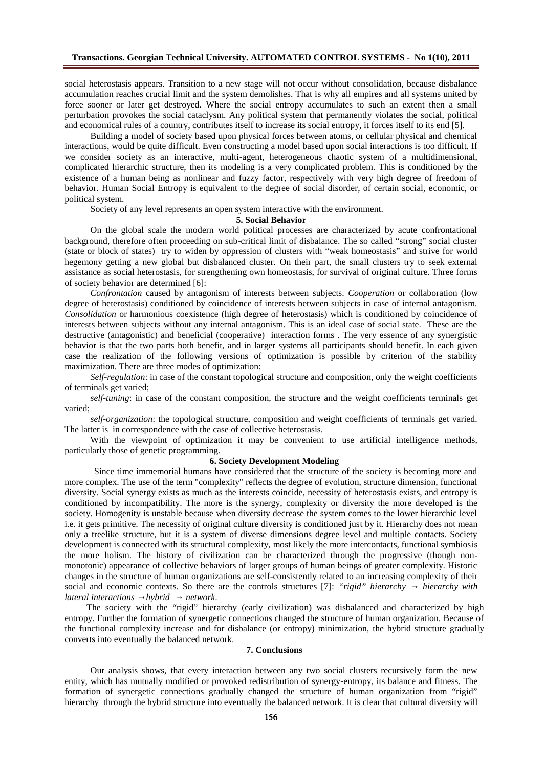social heterostasis appears. Transition to a new stage will not occur without consolidation, because disbalance accumulation reaches crucial limit and the system demolishes. That is why all empires and all systems united by force sooner or later get destroyed. Where the social entropy accumulates to such an extent then a small perturbation provokes the social cataclysm. Any political system that permanently violates the social, political and economical rules of a country, contributes itself to increase its social entropy, it forces itself to its end [5].

Building a model of society based upon physical forces between atoms, or cellular physical and chemical interactions, would be quite difficult. Even constructing a model based upon social interactions is too difficult. If we consider society as an interactive, multi-agent, heterogeneous chaotic system of a multidimensional, complicated hierarchic structure, then its modeling is a very complicated problem. This is conditioned by the existence of a human being as nonlinear and fuzzy factor, respectively with very high degree of freedom of behavior. Human Social Entropy is equivalent to the degree of social disorder, of certain social, economic, or political system.

Society of any level represents an open system interactive with the environment.

#### **5. Social Behavior**

On the global scale the modern world political processes are characterized by acute confrontational background, therefore often proceeding on sub-critical limit of disbalance. The so called "strong" social cluster (state or block of states) try to widen by oppression of clusters with "weak homeostasis" and strive for world hegemony getting a new global but disbalanced cluster. On their part, the small clusters try to seek external assistance as social heterostasis, for strengthening own homeostasis, for survival of original culture. Three forms of society behavior are determined [6]:

*Confrontation* caused by antagonism of interests between subjects. *Cooperation* or collaboration (low degree of heterostasis) conditioned by coincidence of interests between subjects in case of internal antagonism. *Consolidation* or harmonious coexistence (high degree of heterostasis) which is conditioned by coincidence of interests between subjects without any internal antagonism. This is an ideal case of social state. These are the destructive (antagonistic) and beneficial (cooperative) interaction forms . The very essence of any synergistic behavior is that the two parts both benefit, and in larger systems all participants should benefit. In each given case the realization of the following versions of optimization is possible by criterion of the stability maximization. There are three modes of optimization:

*Self-regulation*: in case of the constant topological structure and composition, only the weight coefficients of terminals get varied;

*self-tuning*: in case of the constant composition, the structure and the weight coefficients terminals get varied;

*self-organization*: the topological structure, composition and weight coefficients of terminals get varied. The latter is in correspondence with the case of collective heterostasis.

With the viewpoint of optimization it may be convenient to use artificial intelligence methods, particularly those of genetic programming.

#### **6. Society Development Modeling**

Since time immemorial humans have considered that the structure of the society is becoming more and more complex. The use of the term "complexity" reflects the degree of evolution, structure dimension, functional diversity. Social synergy exists as much as the interests coincide, necessity of heterostasis exists, and entropy is conditioned by incompatibility. The more is the synergy, complexity or diversity the more developed is the society. Homogenity is unstable because when diversity decrease the system comes to the lower hierarchic level i.e. it gets primitive. The necessity of original culture diversity is conditioned just by it. Hierarchy does not mean only a treelike structure, but it is a system of diverse dimensions degree level and multiple contacts. Society development is connected with its structural complexity, most likely the more intercontacts, functional symbiosis the more holism. The history of civilization can be characterized through the progressive (though nonmonotonic) appearance of collective behaviors of larger groups of human beings of greater complexity. Historic changes in the structure of human organizations are self-consistently related to an increasing complexity of their social and economic contexts. So there are the controls structures [7]: *"rigid" hierarchy hierarchy with lateral interactions hybrid network.* 

The society with the "rigid" hierarchy (early civilization) was disbalanced and characterized by high entropy. Further the formation of synergetic connections changed the structure of human organization. Because of the functional complexity increase and for disbalance (or entropy) minimization, the hybrid structure gradually converts into eventually the balanced network.

#### **7. Conclusions**

Our analysis shows, that every interaction between any two social clusters recursively form the new entity, which has mutually modified or provoked redistribution of synergy-entropy, its balance and fitness. The formation of synergetic connections gradually changed the structure of human organization from "rigid" hierarchy through the hybrid structure into eventually the balanced network. It is clear that cultural diversity will